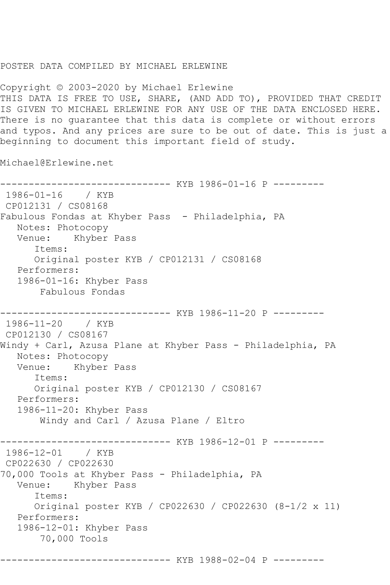## POSTER DATA COMPILED BY MICHAEL ERLEWINE

Copyright © 2003-2020 by Michael Erlewine THIS DATA IS FREE TO USE, SHARE, (AND ADD TO), PROVIDED THAT CREDIT IS GIVEN TO MICHAEL ERLEWINE FOR ANY USE OF THE DATA ENCLOSED HERE. There is no guarantee that this data is complete or without errors and typos. And any prices are sure to be out of date. This is just a beginning to document this important field of study.

Michael@Erlewine.net

------------------------------ KYB 1986-01-16 P --------- 1986-01-16 / KYB CP012131 / CS08168 Fabulous Fondas at Khyber Pass - Philadelphia, PA Notes: Photocopy Venue: Khyber Pass Items: Original poster KYB / CP012131 / CS08168 Performers: 1986-01-16: Khyber Pass Fabulous Fondas ------------------------------ KYB 1986-11-20 P --------- 1986-11-20 / KYB CP012130 / CS08167 Windy + Carl, Azusa Plane at Khyber Pass - Philadelphia, PA Notes: Photocopy Venue: Khyber Pass Items: Original poster KYB / CP012130 / CS08167 Performers: 1986-11-20: Khyber Pass Windy and Carl / Azusa Plane / Eltro ------------------------------ KYB 1986-12-01 P --------- 1986-12-01 / KYB CP022630 / CP022630 70,000 Tools at Khyber Pass - Philadelphia, PA Venue: Khyber Pass Items: Original poster KYB / CP022630 / CP022630 (8-1/2 x 11) Performers: 1986-12-01: Khyber Pass 70,000 Tools

```
------------------------------ KYB 1988-02-04 P ---------
```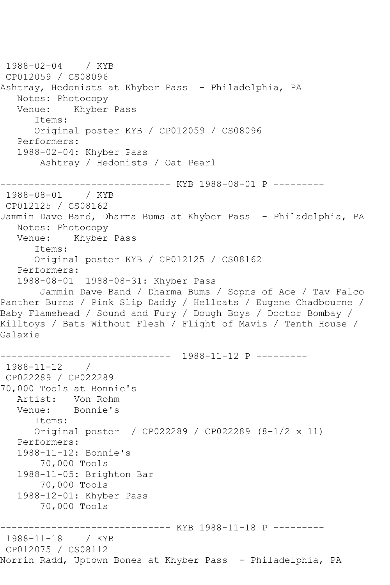1988-02-04 / KYB CP012059 / CS08096 Ashtray, Hedonists at Khyber Pass - Philadelphia, PA Notes: Photocopy<br>Venue: Khyber Khyber Pass Items: Original poster KYB / CP012059 / CS08096 Performers: 1988-02-04: Khyber Pass Ashtray / Hedonists / Oat Pearl ------------------------------ KYB 1988-08-01 P --------- 1988-08-01 CP012125 / CS08162 Jammin Dave Band, Dharma Bums at Khyber Pass - Philadelphia, PA Notes: Photocopy Venue: Khyber Pass Items: Original poster KYB / CP012125 / CS08162 Performers: 1988-08-01 1988-08-31: Khyber Pass Jammin Dave Band / Dharma Bums / Sopns of Ace / Tav Falco Panther Burns / Pink Slip Daddy / Hellcats / Eugene Chadbourne / Baby Flamehead / Sound and Fury / Dough Boys / Doctor Bombay / Killtoys / Bats Without Flesh / Flight of Mavis / Tenth House / Galaxie ------------------------------ 1988-11-12 P --------- 1988-11-12 / CP022289 / CP022289 70,000 Tools at Bonnie's Artist: Von Rohm<br>Venue: Bonnie's Bonnie's Items: Original poster / CP022289 / CP022289 (8-1/2 x 11) Performers: 1988-11-12: Bonnie's 70,000 Tools 1988-11-05: Brighton Bar 70,000 Tools 1988-12-01: Khyber Pass 70,000 Tools ------------ KYB 1988-11-18 P ---------1988-11-18 / KYB CP012075 / CS08112 Norrin Radd, Uptown Bones at Khyber Pass - Philadelphia, PA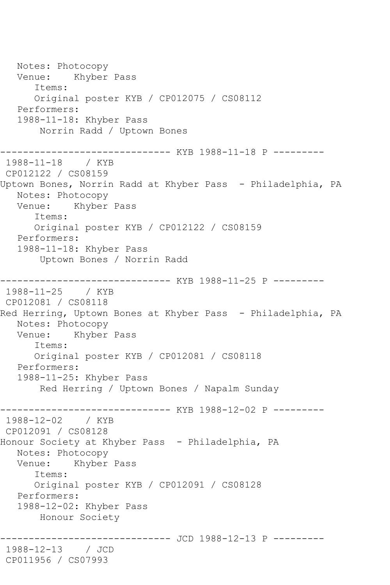Notes: Photocopy Venue: Khyber Pass Items: Original poster KYB / CP012075 / CS08112 Performers: 1988-11-18: Khyber Pass Norrin Radd / Uptown Bones ------------------------------ KYB 1988-11-18 P --------- 1988-11-18 / KYB CP012122 / CS08159 Uptown Bones, Norrin Radd at Khyber Pass - Philadelphia, PA Notes: Photocopy Venue: Khyber Pass Items: Original poster KYB / CP012122 / CS08159 Performers: 1988-11-18: Khyber Pass Uptown Bones / Norrin Radd ------------------------------ KYB 1988-11-25 P --------- 1988-11-25 / KYB CP012081 / CS08118 Red Herring, Uptown Bones at Khyber Pass - Philadelphia, PA Notes: Photocopy Venue: Khyber Pass Items: Original poster KYB / CP012081 / CS08118 Performers: 1988-11-25: Khyber Pass Red Herring / Uptown Bones / Napalm Sunday ------------------------------ KYB 1988-12-02 P --------- 1988-12-02 / KYB CP012091 / CS08128 Honour Society at Khyber Pass - Philadelphia, PA Notes: Photocopy Venue: Khyber Pass Items: Original poster KYB / CP012091 / CS08128 Performers: 1988-12-02: Khyber Pass Honour Society ------------- JCD 1988-12-13 P ----------1988-12-13 / JCD CP011956 / CS07993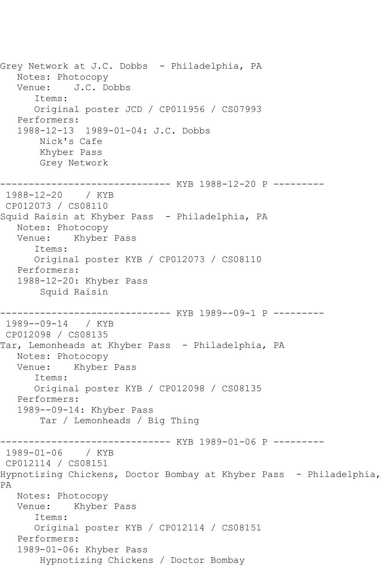Grey Network at J.C. Dobbs - Philadelphia, PA Notes: Photocopy Venue: J.C. Dobbs Items: Original poster JCD / CP011956 / CS07993 Performers: 1988-12-13 1989-01-04: J.C. Dobbs Nick's Cafe Khyber Pass Grey Network ------------------------------ KYB 1988-12-20 P --------- 1988-12-20 / KYB CP012073 / CS08110 Squid Raisin at Khyber Pass - Philadelphia, PA Notes: Photocopy Venue: Khyber Pass Items: Original poster KYB / CP012073 / CS08110 Performers: 1988-12-20: Khyber Pass Squid Raisin ------------------------------ KYB 1989--09-1 P --------- 1989--09-14 / KYB CP012098 / CS08135 Tar, Lemonheads at Khyber Pass - Philadelphia, PA Notes: Photocopy Venue: Khyber Pass Items: Original poster KYB / CP012098 / CS08135 Performers: 1989--09-14: Khyber Pass Tar / Lemonheads / Big Thing ------------------------------ KYB 1989-01-06 P --------- 1989-01-06 / KYB CP012114 / CS08151 Hypnotizing Chickens, Doctor Bombay at Khyber Pass - Philadelphia, PA Notes: Photocopy Venue: Khyber Pass Items: Original poster KYB / CP012114 / CS08151 Performers: 1989-01-06: Khyber Pass Hypnotizing Chickens / Doctor Bombay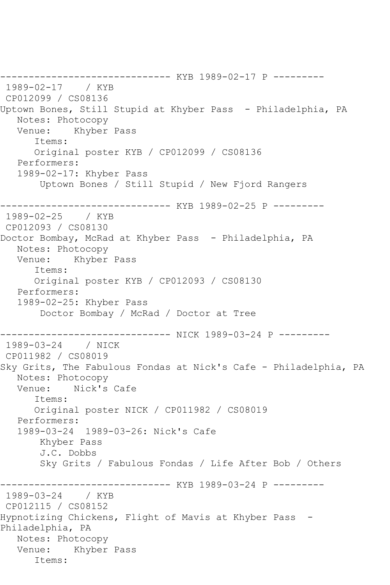------------------------------ KYB 1989-02-17 P --------- 1989-02-17 / KYB CP012099 / CS08136 Uptown Bones, Still Stupid at Khyber Pass - Philadelphia, PA Notes: Photocopy Venue: Khyber Pass Items: Original poster KYB / CP012099 / CS08136 Performers: 1989-02-17: Khyber Pass Uptown Bones / Still Stupid / New Fjord Rangers ------------------------------ KYB 1989-02-25 P --------- 1989-02-25 / KYB CP012093 / CS08130 Doctor Bombay, McRad at Khyber Pass - Philadelphia, PA Notes: Photocopy Venue: Khyber Pass Items: Original poster KYB / CP012093 / CS08130 Performers: 1989-02-25: Khyber Pass Doctor Bombay / McRad / Doctor at Tree ------------------------------ NICK 1989-03-24 P --------- 1989-03-24 / NICK CP011982 / CS08019 Sky Grits, The Fabulous Fondas at Nick's Cafe - Philadelphia, PA Notes: Photocopy Venue: Nick's Cafe Items: Original poster NICK / CP011982 / CS08019 Performers: 1989-03-24 1989-03-26: Nick's Cafe Khyber Pass J.C. Dobbs Sky Grits / Fabulous Fondas / Life After Bob / Others ------------------------------ KYB 1989-03-24 P --------- 1989-03-24 / KYB CP012115 / CS08152 Hypnotizing Chickens, Flight of Mavis at Khyber Pass - Philadelphia, PA Notes: Photocopy Venue: Khyber Pass Items: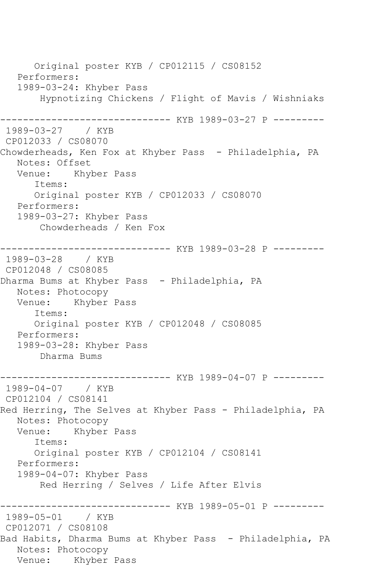Original poster KYB / CP012115 / CS08152 Performers: 1989-03-24: Khyber Pass Hypnotizing Chickens / Flight of Mavis / Wishniaks -------------------- KYB 1989-03-27 P ---------1989-03-27 / KYB CP012033 / CS08070 Chowderheads, Ken Fox at Khyber Pass - Philadelphia, PA Notes: Offset Venue: Khyber Pass Items: Original poster KYB / CP012033 / CS08070 Performers: 1989-03-27: Khyber Pass Chowderheads / Ken Fox ------------------------------ KYB 1989-03-28 P --------- 1989-03-28 / KYB CP012048 / CS08085 Dharma Bums at Khyber Pass - Philadelphia, PA Notes: Photocopy Venue: Khyber Pass Items: Original poster KYB / CP012048 / CS08085 Performers: 1989-03-28: Khyber Pass Dharma Bums ------------------------------ KYB 1989-04-07 P --------- 1989-04-07 / KYB CP012104 / CS08141 Red Herring, The Selves at Khyber Pass - Philadelphia, PA Notes: Photocopy Venue: Khyber Pass Items: Original poster KYB / CP012104 / CS08141 Performers: 1989-04-07: Khyber Pass Red Herring / Selves / Life After Elvis ------------------------------ KYB 1989-05-01 P --------- 1989-05-01 / KYB CP012071 / CS08108 Bad Habits, Dharma Bums at Khyber Pass - Philadelphia, PA Notes: Photocopy Venue: Khyber Pass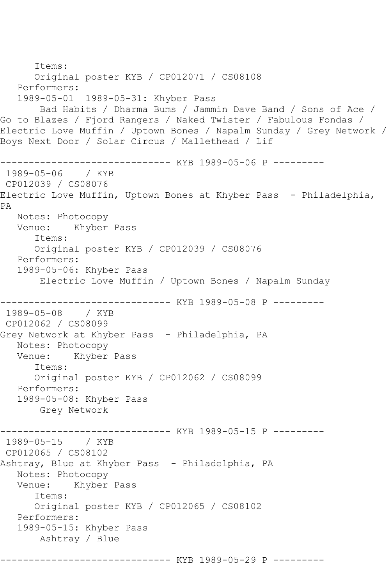```
 Items:
       Original poster KYB / CP012071 / CS08108
    Performers:
    1989-05-01 1989-05-31: Khyber Pass
        Bad Habits / Dharma Bums / Jammin Dave Band / Sons of Ace / 
Go to Blazes / Fjord Rangers / Naked Twister / Fabulous Fondas / 
Electric Love Muffin / Uptown Bones / Napalm Sunday / Grey Network / 
Boys Next Door / Solar Circus / Mallethead / Lif
------------------------------ KYB 1989-05-06 P ---------
1989-05-06 / KYB 
CP012039 / CS08076
Electric Love Muffin, Uptown Bones at Khyber Pass - Philadelphia,
PA
   Notes: Photocopy
   Venue: Khyber Pass
       Items:
       Original poster KYB / CP012039 / CS08076
   Performers:
   1989-05-06: Khyber Pass
        Electric Love Muffin / Uptown Bones / Napalm Sunday
                ------------------------------ KYB 1989-05-08 P ---------
1989-05-08 / KYB 
CP012062 / CS08099
Grey Network at Khyber Pass - Philadelphia, PA
   Notes: Photocopy
   Venue: Khyber Pass
       Items:
       Original poster KYB / CP012062 / CS08099
    Performers:
    1989-05-08: Khyber Pass
        Grey Network
                     ---------- KYB 1989-05-15 P ---------
1989-05-15 / KYB 
CP012065 / CS08102
Ashtray, Blue at Khyber Pass - Philadelphia, PA
  Notes: Photocopy<br>Venue: Khyber
           Khyber Pass
       Items:
       Original poster KYB / CP012065 / CS08102
   Performers:
   1989-05-15: Khyber Pass
        Ashtray / Blue
            ------------------------------ KYB 1989-05-29 P ---------
```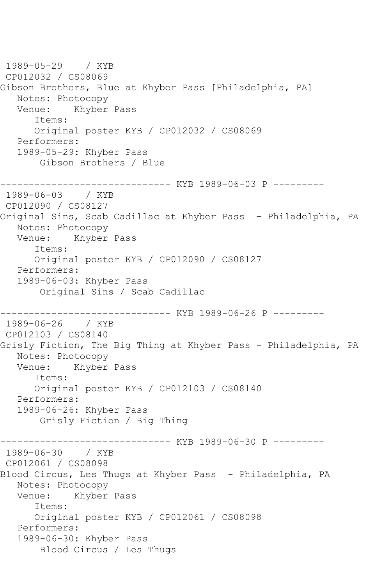1989-05-29 / KYB CP012032 / CS08069 Gibson Brothers, Blue at Khyber Pass [Philadelphia, PA] Notes: Photocopy<br>Venue: Khyber Khyber Pass Items: Original poster KYB / CP012032 / CS08069 Performers: 1989-05-29: Khyber Pass Gibson Brothers / Blue ------------------------------ KYB 1989-06-03 P --------- 1989-06-03 / KYB CP012090 / CS08127 Original Sins, Scab Cadillac at Khyber Pass - Philadelphia, PA Notes: Photocopy Venue: Khyber Pass Items: Original poster KYB / CP012090 / CS08127 Performers: 1989-06-03: Khyber Pass Original Sins / Scab Cadillac ------------------------------ KYB 1989-06-26 P --------- 1989-06-26 / KYB CP012103 / CS08140 Grisly Fiction, The Big Thing at Khyber Pass - Philadelphia, PA Notes: Photocopy Venue: Khyber Pass Items: Original poster KYB / CP012103 / CS08140 Performers: 1989-06-26: Khyber Pass Grisly Fiction / Big Thing ------------------------------ KYB 1989-06-30 P --------- 1989-06-30 / KYB CP012061 / CS08098 Blood Circus, Les Thugs at Khyber Pass - Philadelphia, PA Notes: Photocopy<br>Venue: Khyber Khyber Pass Items: Original poster KYB / CP012061 / CS08098 Performers: 1989-06-30: Khyber Pass Blood Circus / Les Thugs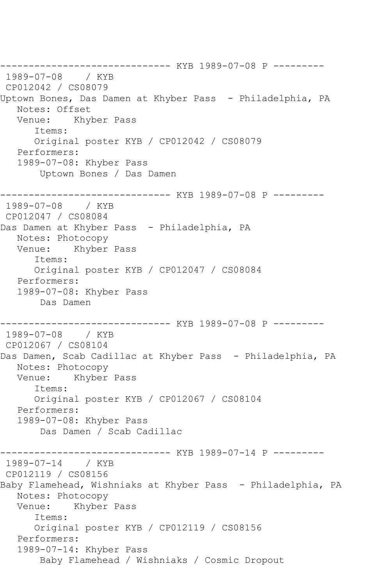------------------------------ KYB 1989-07-08 P --------- 1989-07-08 / KYB CP012042 / CS08079 Uptown Bones, Das Damen at Khyber Pass - Philadelphia, PA Notes: Offset Venue: Khyber Pass Items: Original poster KYB / CP012042 / CS08079 Performers: 1989-07-08: Khyber Pass Uptown Bones / Das Damen ------------------------------ KYB 1989-07-08 P --------- 1989-07-08 / KYB CP012047 / CS08084 Das Damen at Khyber Pass - Philadelphia, PA Notes: Photocopy Venue: Khyber Pass Items: Original poster KYB / CP012047 / CS08084 Performers: 1989-07-08: Khyber Pass Das Damen ------------------------------ KYB 1989-07-08 P --------- 1989-07-08 / KYB CP012067 / CS08104 Das Damen, Scab Cadillac at Khyber Pass - Philadelphia, PA Notes: Photocopy Venue: Khyber Pass Items: Original poster KYB / CP012067 / CS08104 Performers: 1989-07-08: Khyber Pass Das Damen / Scab Cadillac ------------------------------ KYB 1989-07-14 P --------- 1989-07-14 / KYB CP012119 / CS08156 Baby Flamehead, Wishniaks at Khyber Pass - Philadelphia, PA Notes: Photocopy Venue: Khyber Pass Items: Original poster KYB / CP012119 / CS08156 Performers: 1989-07-14: Khyber Pass Baby Flamehead / Wishniaks / Cosmic Dropout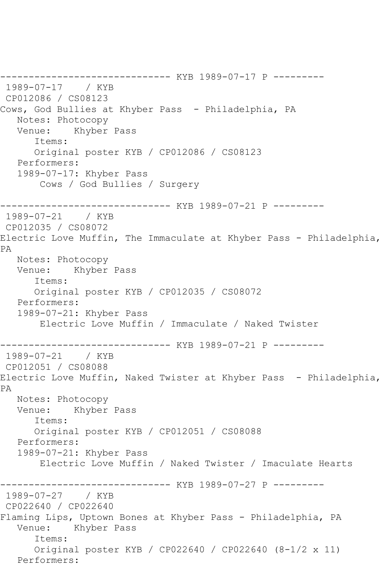------------------------------ KYB 1989-07-17 P --------- 1989-07-17 / KYB CP012086 / CS08123 Cows, God Bullies at Khyber Pass - Philadelphia, PA Notes: Photocopy Venue: Khyber Pass Items: Original poster KYB / CP012086 / CS08123 Performers: 1989-07-17: Khyber Pass Cows / God Bullies / Surgery ------------------------------ KYB 1989-07-21 P --------- 1989-07-21 / KYB CP012035 / CS08072 Electric Love Muffin, The Immaculate at Khyber Pass - Philadelphia, PA Notes: Photocopy Venue: Khyber Pass Items: Original poster KYB / CP012035 / CS08072 Performers: 1989-07-21: Khyber Pass Electric Love Muffin / Immaculate / Naked Twister ------------------------------ KYB 1989-07-21 P --------- 1989-07-21 / KYB CP012051 / CS08088 Electric Love Muffin, Naked Twister at Khyber Pass - Philadelphia, PA Notes: Photocopy Venue: Khyber Pass Items: Original poster KYB / CP012051 / CS08088 Performers: 1989-07-21: Khyber Pass Electric Love Muffin / Naked Twister / Imaculate Hearts ------------------------------ KYB 1989-07-27 P --------- 1989-07-27 / KYB CP022640 / CP022640 Flaming Lips, Uptown Bones at Khyber Pass - Philadelphia, PA Venue: Khyber Pass Items: Original poster KYB / CP022640 / CP022640 (8-1/2 x 11) Performers: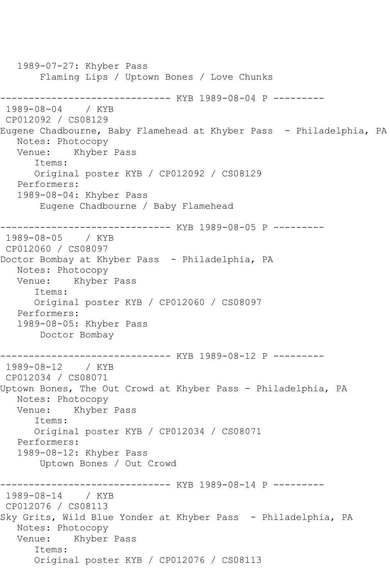1989-07-27: Khyber Pass Flaming Lips / Uptown Bones / Love Chunks ------------------------------ KYB 1989-08-04 P --------- 1989-08-04 / KYB CP012092 / CS08129 Eugene Chadbourne, Baby Flamehead at Khyber Pass - Philadelphia, PA Notes: Photocopy Venue: Khyber Pass Items: Original poster KYB / CP012092 / CS08129 Performers: 1989-08-04: Khyber Pass Eugene Chadbourne / Baby Flamehead ------------------------------ KYB 1989-08-05 P --------- 1989-08-05 / KYB CP012060 / CS08097 Doctor Bombay at Khyber Pass - Philadelphia, PA Notes: Photocopy Venue: Khyber Pass Items: Original poster KYB / CP012060 / CS08097 Performers: 1989-08-05: Khyber Pass Doctor Bombay ------------------------------ KYB 1989-08-12 P --------- 1989-08-12 / KYB CP012034 / CS08071 Uptown Bones, The Out Crowd at Khyber Pass - Philadelphia, PA Notes: Photocopy Venue: Khyber Pass Items: Original poster KYB / CP012034 / CS08071 Performers: 1989-08-12: Khyber Pass Uptown Bones / Out Crowd ------------------------------ KYB 1989-08-14 P --------- 1989-08-14 / KYB CP012076 / CS08113 Sky Grits, Wild Blue Yonder at Khyber Pass - Philadelphia, PA Notes: Photocopy Venue: Khyber Pass Items: Original poster KYB / CP012076 / CS08113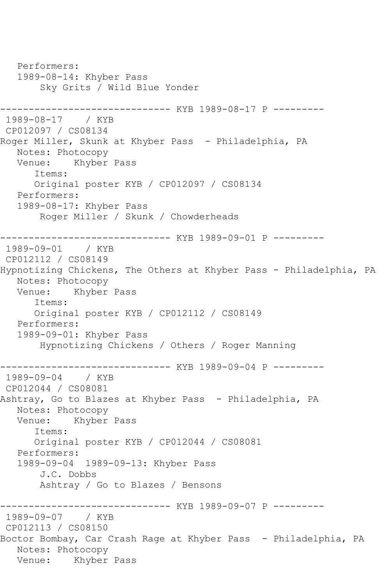Performers: 1989-08-14: Khyber Pass Sky Grits / Wild Blue Yonder ------------------------------ KYB 1989-08-17 P --------- 1989-08-17 / KYB CP012097 / CS08134 Roger Miller, Skunk at Khyber Pass - Philadelphia, PA Notes: Photocopy Venue: Khyber Pass Items: Original poster KYB / CP012097 / CS08134 Performers: 1989-08-17: Khyber Pass Roger Miller / Skunk / Chowderheads ------------------------------ KYB 1989-09-01 P --------- 1989-09-01 CP012112 / CS08149 Hypnotizing Chickens, The Others at Khyber Pass - Philadelphia, PA Notes: Photocopy Venue: Khyber Pass Items: Original poster KYB / CP012112 / CS08149 Performers: 1989-09-01: Khyber Pass Hypnotizing Chickens / Others / Roger Manning -------------- KYB 1989-09-04 P ---------1989-09-04 / KYB CP012044 / CS08081 Ashtray, Go to Blazes at Khyber Pass - Philadelphia, PA Notes: Photocopy<br>Venue: Khyber Khyber Pass Items: Original poster KYB / CP012044 / CS08081 Performers: 1989-09-04 1989-09-13: Khyber Pass J.C. Dobbs Ashtray / Go to Blazes / Bensons ------------- KYB 1989-09-07 P ---------1989-09-07 / KYB CP012113 / CS08150 Boctor Bombay, Car Crash Rage at Khyber Pass - Philadelphia, PA Notes: Photocopy Venue: Khyber Pass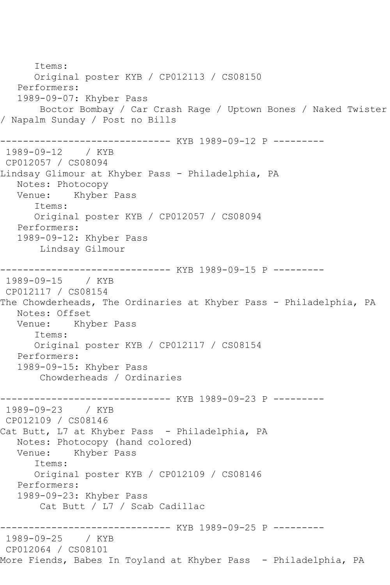Items: Original poster KYB / CP012113 / CS08150 Performers: 1989-09-07: Khyber Pass Boctor Bombay / Car Crash Rage / Uptown Bones / Naked Twister / Napalm Sunday / Post no Bills ------------------------------ KYB 1989-09-12 P --------- 1989-09-12 / KYB CP012057 / CS08094 Lindsay Glimour at Khyber Pass - Philadelphia, PA Notes: Photocopy Venue: Khyber Pass Items: Original poster KYB / CP012057 / CS08094 Performers: 1989-09-12: Khyber Pass Lindsay Gilmour ------------------------------ KYB 1989-09-15 P --------- 1989-09-15 / KYB CP012117 / CS08154 The Chowderheads, The Ordinaries at Khyber Pass - Philadelphia, PA Notes: Offset<br>Venue: Khy Khyber Pass Items: Original poster KYB / CP012117 / CS08154 Performers: 1989-09-15: Khyber Pass Chowderheads / Ordinaries -------------- KYB 1989-09-23 P ---------1989-09-23 / KYB CP012109 / CS08146 Cat Butt, L7 at Khyber Pass - Philadelphia, PA Notes: Photocopy (hand colored) Khyber Pass Items: Original poster KYB / CP012109 / CS08146 Performers: 1989-09-23: Khyber Pass Cat Butt / L7 / Scab Cadillac ------------ KYB 1989-09-25 P ---------1989-09-25 / KYB CP012064 / CS08101 More Fiends, Babes In Toyland at Khyber Pass - Philadelphia, PA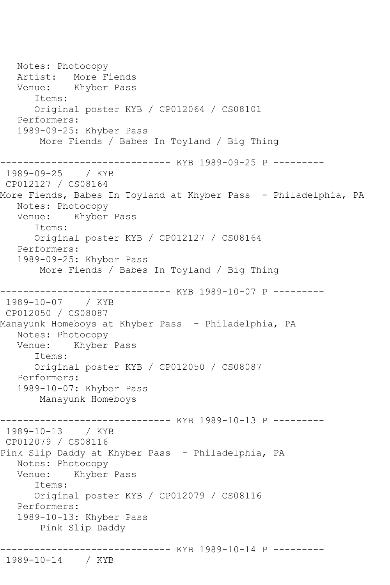Notes: Photocopy Artist: More Fiends Venue: Khyber Pass Items: Original poster KYB / CP012064 / CS08101 Performers: 1989-09-25: Khyber Pass More Fiends / Babes In Toyland / Big Thing --------------- KYB 1989-09-25 P ---------1989-09-25 / KYB CP012127 / CS08164 More Fiends, Babes In Toyland at Khyber Pass - Philadelphia, PA Notes: Photocopy Venue: Khyber Pass Items: Original poster KYB / CP012127 / CS08164 Performers: 1989-09-25: Khyber Pass More Fiends / Babes In Toyland / Big Thing ------------ KYB 1989-10-07 P ---------1989-10-07 / KYB CP012050 / CS08087 Manayunk Homeboys at Khyber Pass - Philadelphia, PA Notes: Photocopy Venue: Khyber Pass Items: Original poster KYB / CP012050 / CS08087 Performers: 1989-10-07: Khyber Pass Manayunk Homeboys ------------------------------ KYB 1989-10-13 P --------- 1989-10-13 / KYB CP012079 / CS08116 Pink Slip Daddy at Khyber Pass - Philadelphia, PA Notes: Photocopy Venue: Khyber Pass Items: Original poster KYB / CP012079 / CS08116 Performers: 1989-10-13: Khyber Pass Pink Slip Daddy ------------------------------ KYB 1989-10-14 P --------- 1989-10-14 / KYB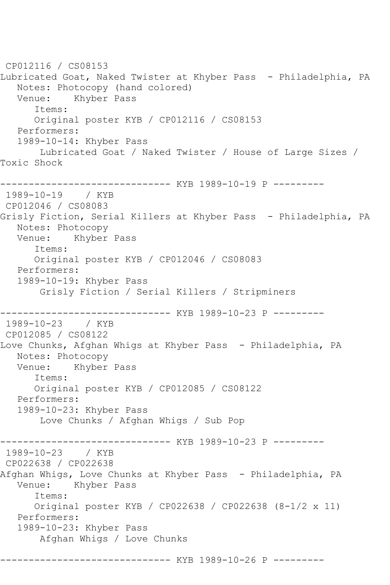CP012116 / CS08153 Lubricated Goat, Naked Twister at Khyber Pass - Philadelphia, PA Notes: Photocopy (hand colored) Venue: Khyber Pass Items: Original poster KYB / CP012116 / CS08153 Performers: 1989-10-14: Khyber Pass Lubricated Goat / Naked Twister / House of Large Sizes / Toxic Shock ------------------------------ KYB 1989-10-19 P --------- 1989-10-19 / KYB CP012046 / CS08083 Grisly Fiction, Serial Killers at Khyber Pass - Philadelphia, PA Notes: Photocopy Venue: Khyber Pass Items: Original poster KYB / CP012046 / CS08083 Performers: 1989-10-19: Khyber Pass Grisly Fiction / Serial Killers / Stripminers ------------------------------ KYB 1989-10-23 P --------- 1989-10-23 / KYB CP012085 / CS08122 Love Chunks, Afghan Whigs at Khyber Pass - Philadelphia, PA Notes: Photocopy Venue: Khyber Pass Items: Original poster KYB / CP012085 / CS08122 Performers: 1989-10-23: Khyber Pass Love Chunks / Afghan Whigs / Sub Pop ------------------------------ KYB 1989-10-23 P --------- 1989-10-23 / KYB CP022638 / CP022638 Afghan Whigs, Love Chunks at Khyber Pass - Philadelphia, PA Venue: Khyber Pass Items: Original poster KYB / CP022638 / CP022638 (8-1/2 x 11) Performers: 1989-10-23: Khyber Pass Afghan Whigs / Love Chunks ------------------------------ KYB 1989-10-26 P ---------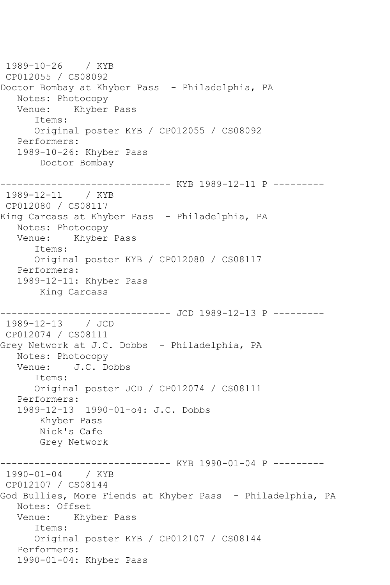1989-10-26 / KYB CP012055 / CS08092 Doctor Bombay at Khyber Pass - Philadelphia, PA Notes: Photocopy<br>Venue: Khyber Khyber Pass Items: Original poster KYB / CP012055 / CS08092 Performers: 1989-10-26: Khyber Pass Doctor Bombay ------------------------------ KYB 1989-12-11 P --------- 1989-12-11 / KYB CP012080 / CS08117 King Carcass at Khyber Pass - Philadelphia, PA Notes: Photocopy Venue: Khyber Pass Items: Original poster KYB / CP012080 / CS08117 Performers: 1989-12-11: Khyber Pass King Carcass ------------------------------ JCD 1989-12-13 P --------- 1989-12-13 / JCD CP012074 / CS08111 Grey Network at J.C. Dobbs - Philadelphia, PA Notes: Photocopy Venue: J.C. Dobbs Items: Original poster JCD / CP012074 / CS08111 Performers: 1989-12-13 1990-01-o4: J.C. Dobbs Khyber Pass Nick's Cafe Grey Network ------------ KYB 1990-01-04 P ---------1990-01-04 / KYB CP012107 / CS08144 God Bullies, More Fiends at Khyber Pass - Philadelphia, PA Notes: Offset Venue: Khyber Pass Items: Original poster KYB / CP012107 / CS08144 Performers: 1990-01-04: Khyber Pass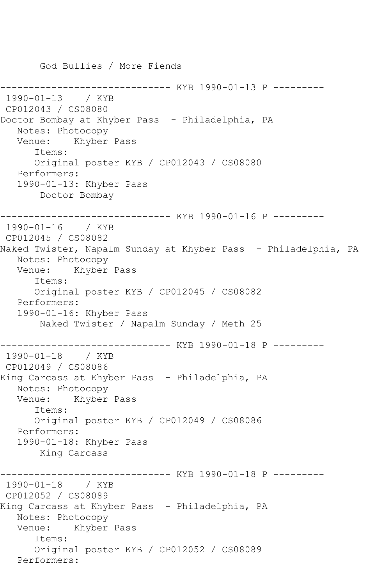God Bullies / More Fiends ------------------------------ KYB 1990-01-13 P --------- 1990-01-13 / KYB CP012043 / CS08080 Doctor Bombay at Khyber Pass - Philadelphia, PA Notes: Photocopy Venue: Khyber Pass Items: Original poster KYB / CP012043 / CS08080 Performers: 1990-01-13: Khyber Pass Doctor Bombay ------------------------------ KYB 1990-01-16 P --------- 1990-01-16 / KYB CP012045 / CS08082 Naked Twister, Napalm Sunday at Khyber Pass - Philadelphia, PA Notes: Photocopy Venue: Khyber Pass Items: Original poster KYB / CP012045 / CS08082 Performers: 1990-01-16: Khyber Pass Naked Twister / Napalm Sunday / Meth 25 ------------------------------ KYB 1990-01-18 P --------- 1990-01-18 / KYB CP012049 / CS08086 King Carcass at Khyber Pass - Philadelphia, PA Notes: Photocopy Venue: Khyber Pass Items: Original poster KYB / CP012049 / CS08086 Performers: 1990-01-18: Khyber Pass King Carcass ------------------------------ KYB 1990-01-18 P --------- 1990-01-18 / KYB CP012052 / CS08089 King Carcass at Khyber Pass - Philadelphia, PA Notes: Photocopy Venue: Khyber Pass Items: Original poster KYB / CP012052 / CS08089 Performers: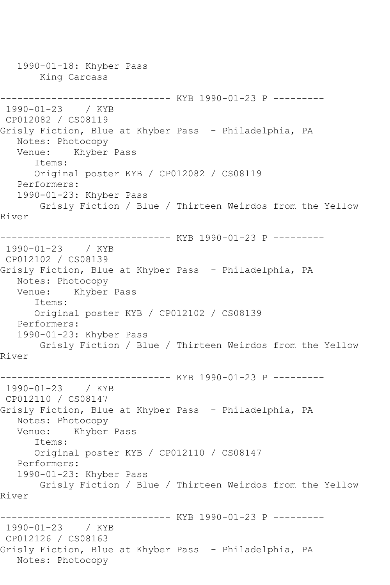1990-01-18: Khyber Pass King Carcass ------------------------------ KYB 1990-01-23 P --------- 1990-01-23 / KYB CP012082 / CS08119 Grisly Fiction, Blue at Khyber Pass - Philadelphia, PA Notes: Photocopy Venue: Khyber Pass Items: Original poster KYB / CP012082 / CS08119 Performers: 1990-01-23: Khyber Pass Grisly Fiction / Blue / Thirteen Weirdos from the Yellow River ------------------------------ KYB 1990-01-23 P --------- 1990-01-23 / KYB CP012102 / CS08139 Grisly Fiction, Blue at Khyber Pass - Philadelphia, PA Notes: Photocopy Venue: Khyber Pass Items: Original poster KYB / CP012102 / CS08139 Performers: 1990-01-23: Khyber Pass Grisly Fiction / Blue / Thirteen Weirdos from the Yellow River ------------------------------ KYB 1990-01-23 P --------- 1990-01-23 / KYB CP012110 / CS08147 Grisly Fiction, Blue at Khyber Pass - Philadelphia, PA Notes: Photocopy Venue: Khyber Pass Items: Original poster KYB / CP012110 / CS08147 Performers: 1990-01-23: Khyber Pass Grisly Fiction / Blue / Thirteen Weirdos from the Yellow River ------------------------------ KYB 1990-01-23 P --------- 1990-01-23 / KYB CP012126 / CS08163 Grisly Fiction, Blue at Khyber Pass - Philadelphia, PA Notes: Photocopy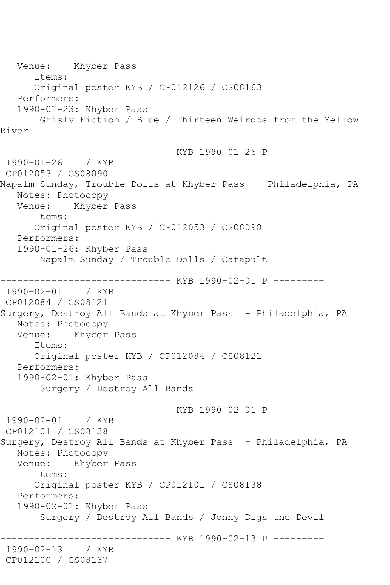Venue: Khyber Pass Items: Original poster KYB / CP012126 / CS08163 Performers: 1990-01-23: Khyber Pass Grisly Fiction / Blue / Thirteen Weirdos from the Yellow River ----------- KYB 1990-01-26 P ---------1990-01-26 / KYB CP012053 / CS08090 Napalm Sunday, Trouble Dolls at Khyber Pass - Philadelphia, PA Notes: Photocopy Venue: Khyber Pass Items: Original poster KYB / CP012053 / CS08090 Performers: 1990-01-26: Khyber Pass Napalm Sunday / Trouble Dolls / Catapult ------------------------------ KYB 1990-02-01 P --------- 1990-02-01 / KYB CP012084 / CS08121 Surgery, Destroy All Bands at Khyber Pass - Philadelphia, PA Notes: Photocopy Venue: Khyber Pass Items: Original poster KYB / CP012084 / CS08121 Performers: 1990-02-01: Khyber Pass Surgery / Destroy All Bands ------------------------------ KYB 1990-02-01 P --------- 1990-02-01 / KYB CP012101 / CS08138 Surgery, Destroy All Bands at Khyber Pass - Philadelphia, PA Notes: Photocopy Venue: Khyber Pass Items: Original poster KYB / CP012101 / CS08138 Performers: 1990-02-01: Khyber Pass Surgery / Destroy All Bands / Jonny Digs the Devil ------------------------------ KYB 1990-02-13 P --------- 1990-02-13 / KYB CP012100 / CS08137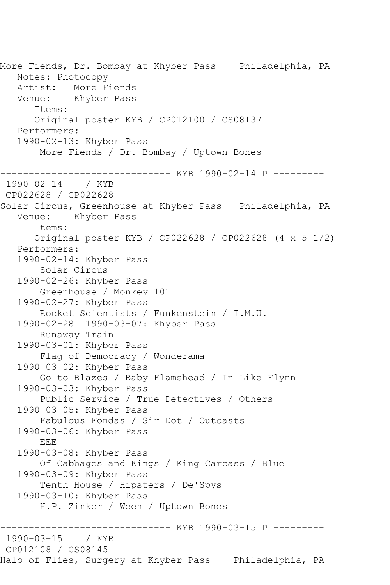More Fiends, Dr. Bombay at Khyber Pass - Philadelphia, PA Notes: Photocopy Artist: More Fiends Venue: Khyber Pass Items: Original poster KYB / CP012100 / CS08137 Performers: 1990-02-13: Khyber Pass More Fiends / Dr. Bombay / Uptown Bones ------------------------------ KYB 1990-02-14 P --------- 1990-02-14 / KYB CP022628 / CP022628 Solar Circus, Greenhouse at Khyber Pass - Philadelphia, PA Venue: Khyber Pass Items: Original poster KYB / CP022628 / CP022628 (4 x 5-1/2) Performers: 1990-02-14: Khyber Pass Solar Circus 1990-02-26: Khyber Pass Greenhouse / Monkey 101 1990-02-27: Khyber Pass Rocket Scientists / Funkenstein / I.M.U. 1990-02-28 1990-03-07: Khyber Pass Runaway Train 1990-03-01: Khyber Pass Flag of Democracy / Wonderama 1990-03-02: Khyber Pass Go to Blazes / Baby Flamehead / In Like Flynn 1990-03-03: Khyber Pass Public Service / True Detectives / Others 1990-03-05: Khyber Pass Fabulous Fondas / Sir Dot / Outcasts 1990-03-06: Khyber Pass EEE 1990-03-08: Khyber Pass Of Cabbages and Kings / King Carcass / Blue 1990-03-09: Khyber Pass Tenth House / Hipsters / De'Spys 1990-03-10: Khyber Pass H.P. Zinker / Ween / Uptown Bones ------------------------------ KYB 1990-03-15 P ---------  $1990 - 03 - 15$ CP012108 / CS08145 Halo of Flies, Surgery at Khyber Pass - Philadelphia, PA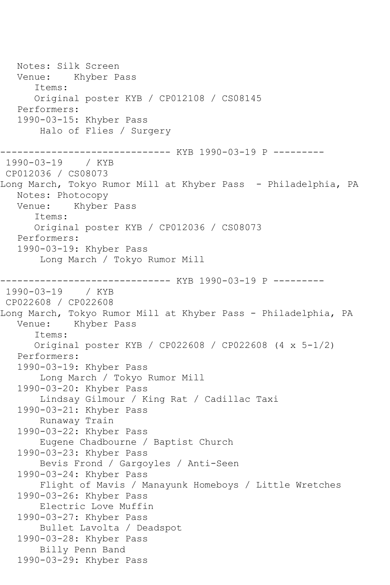Notes: Silk Screen Venue: Khyber Pass Items: Original poster KYB / CP012108 / CS08145 Performers: 1990-03-15: Khyber Pass Halo of Flies / Surgery ----------------- KYB 1990-03-19 P ----------<br>/ KYB 1990-03-19 CP012036 / CS08073 Long March, Tokyo Rumor Mill at Khyber Pass - Philadelphia, PA Notes: Photocopy Venue: Khyber Pass Items: Original poster KYB / CP012036 / CS08073 Performers: 1990-03-19: Khyber Pass Long March / Tokyo Rumor Mill ------------------------------ KYB 1990-03-19 P --------- 1990-03-19 / KYB CP022608 / CP022608 Long March, Tokyo Rumor Mill at Khyber Pass - Philadelphia, PA Venue: Khyber Pass Items: Original poster KYB / CP022608 / CP022608 (4 x 5-1/2) Performers: 1990-03-19: Khyber Pass Long March / Tokyo Rumor Mill 1990-03-20: Khyber Pass Lindsay Gilmour / King Rat / Cadillac Taxi 1990-03-21: Khyber Pass Runaway Train 1990-03-22: Khyber Pass Eugene Chadbourne / Baptist Church 1990-03-23: Khyber Pass Bevis Frond / Gargoyles / Anti-Seen 1990-03-24: Khyber Pass Flight of Mavis / Manayunk Homeboys / Little Wretches 1990-03-26: Khyber Pass Electric Love Muffin 1990-03-27: Khyber Pass Bullet Lavolta / Deadspot 1990-03-28: Khyber Pass Billy Penn Band 1990-03-29: Khyber Pass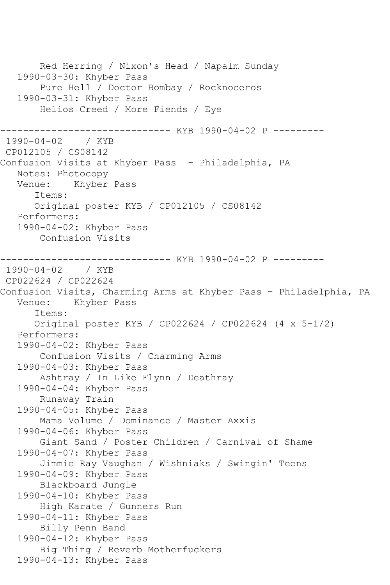Red Herring / Nixon's Head / Napalm Sunday 1990-03-30: Khyber Pass Pure Hell / Doctor Bombay / Rocknoceros 1990-03-31: Khyber Pass Helios Creed / More Fiends / Eye ------------------------------ KYB 1990-04-02 P --------- 1990-04-02 / KYB CP012105 / CS08142 Confusion Visits at Khyber Pass - Philadelphia, PA Notes: Photocopy<br>Venue: Khyber Khyber Pass Items: Original poster KYB / CP012105 / CS08142 Performers: 1990-04-02: Khyber Pass Confusion Visits ------------------------------ KYB 1990-04-02 P --------- 1990-04-02 / KYB CP022624 / CP022624 Confusion Visits, Charming Arms at Khyber Pass - Philadelphia, PA Venue: Khyber Pass Items: Original poster KYB / CP022624 / CP022624 (4 x 5-1/2) Performers: 1990-04-02: Khyber Pass Confusion Visits / Charming Arms 1990-04-03: Khyber Pass Ashtray / In Like Flynn / Deathray 1990-04-04: Khyber Pass Runaway Train 1990-04-05: Khyber Pass Mama Volume / Dominance / Master Axxis 1990-04-06: Khyber Pass Giant Sand / Poster Children / Carnival of Shame 1990-04-07: Khyber Pass Jimmie Ray Vaughan / Wishniaks / Swingin' Teens 1990-04-09: Khyber Pass Blackboard Jungle 1990-04-10: Khyber Pass High Karate / Gunners Run 1990-04-11: Khyber Pass Billy Penn Band 1990-04-12: Khyber Pass Big Thing / Reverb Motherfuckers 1990-04-13: Khyber Pass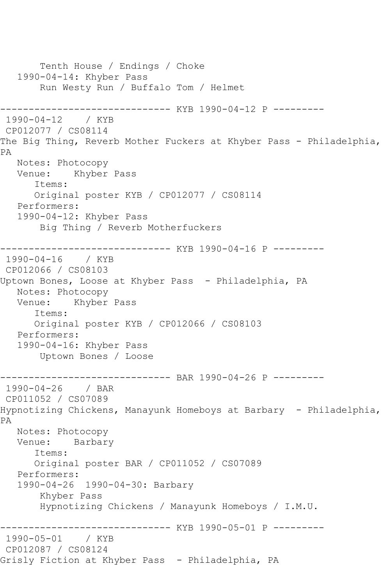Tenth House / Endings / Choke 1990-04-14: Khyber Pass Run Westy Run / Buffalo Tom / Helmet ------------------------------ KYB 1990-04-12 P --------- 1990-04-12 / KYB CP012077 / CS08114 The Big Thing, Reverb Mother Fuckers at Khyber Pass - Philadelphia, PA Notes: Photocopy Venue: Khyber Pass Items: Original poster KYB / CP012077 / CS08114 Performers: 1990-04-12: Khyber Pass Big Thing / Reverb Motherfuckers ------------------------------ KYB 1990-04-16 P --------- 1990-04-16 / KYB CP012066 / CS08103 Uptown Bones, Loose at Khyber Pass - Philadelphia, PA Notes: Photocopy Venue: Khyber Pass Items: Original poster KYB / CP012066 / CS08103 Performers: 1990-04-16: Khyber Pass Uptown Bones / Loose \_\_\_\_\_\_\_\_\_\_\_\_\_\_\_ ------------------------------ BAR 1990-04-26 P ---------  $1990 - 04 - 26$ CP011052 / CS07089 Hypnotizing Chickens, Manayunk Homeboys at Barbary - Philadelphia, PA Notes: Photocopy Venue: Barbary Items: Original poster BAR / CP011052 / CS07089 Performers: 1990-04-26 1990-04-30: Barbary Khyber Pass Hypnotizing Chickens / Manayunk Homeboys / I.M.U. ------------------------------ KYB 1990-05-01 P --------- 1990-05-01 / KYB CP012087 / CS08124 Grisly Fiction at Khyber Pass - Philadelphia, PA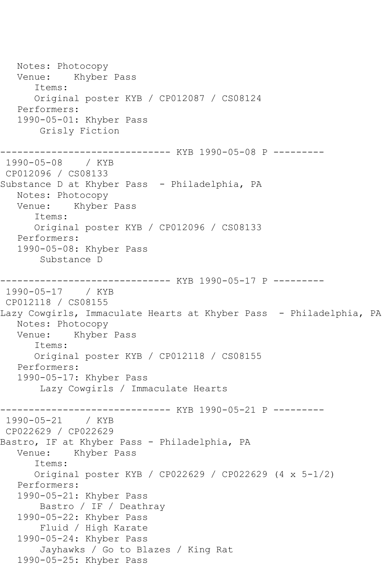Notes: Photocopy Venue: Khyber Pass Items: Original poster KYB / CP012087 / CS08124 Performers: 1990-05-01: Khyber Pass Grisly Fiction ------------------- KYB 1990-05-08 P ----------<br>/ KYB 1990-05-08 CP012096 / CS08133 Substance D at Khyber Pass - Philadelphia, PA Notes: Photocopy Venue: Khyber Pass Items: Original poster KYB / CP012096 / CS08133 Performers: 1990-05-08: Khyber Pass Substance D ------------------------------ KYB 1990-05-17 P --------- 1990-05-17 / KYB CP012118 / CS08155 Lazy Cowgirls, Immaculate Hearts at Khyber Pass - Philadelphia, PA Notes: Photocopy Venue: Khyber Pass Items: Original poster KYB / CP012118 / CS08155 Performers: 1990-05-17: Khyber Pass Lazy Cowgirls / Immaculate Hearts ------------------------------ KYB 1990-05-21 P ---------  $1990 - 05 - 21$ CP022629 / CP022629 Bastro, IF at Khyber Pass - Philadelphia, PA<br>Venue: Khyber Pass Khyber Pass Items: Original poster KYB / CP022629 / CP022629 (4 x 5-1/2) Performers: 1990-05-21: Khyber Pass Bastro / IF / Deathray 1990-05-22: Khyber Pass Fluid / High Karate 1990-05-24: Khyber Pass Jayhawks / Go to Blazes / King Rat 1990-05-25: Khyber Pass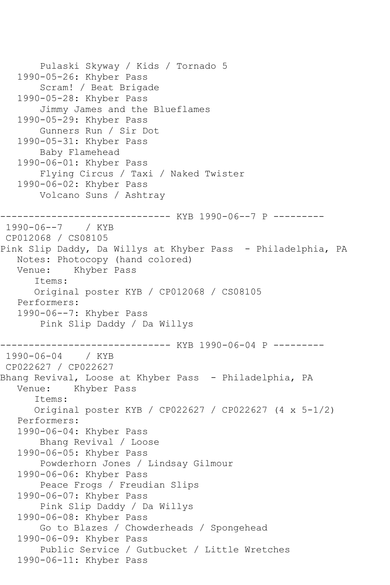```
 Pulaski Skyway / Kids / Tornado 5
    1990-05-26: Khyber Pass
        Scram! / Beat Brigade
    1990-05-28: Khyber Pass
        Jimmy James and the Blueflames
    1990-05-29: Khyber Pass
        Gunners Run / Sir Dot
    1990-05-31: Khyber Pass
        Baby Flamehead
    1990-06-01: Khyber Pass
        Flying Circus / Taxi / Naked Twister
    1990-06-02: Khyber Pass
        Volcano Suns / Ashtray
         --------------------- KYB 1990-06--7 P ---------
1990-06--7 / KYB 
CP012068 / CS08105
Pink Slip Daddy, Da Willys at Khyber Pass - Philadelphia, PA
   Notes: Photocopy (hand colored)
   Venue: Khyber Pass
       Items:
       Original poster KYB / CP012068 / CS08105
   Performers:
    1990-06--7: Khyber Pass
        Pink Slip Daddy / Da Willys
------------------------------ KYB 1990-06-04 P ---------
1990-06-04 / KYB 
CP022627 / CP022627
Bhang Revival, Loose at Khyber Pass  – Philadelphia, PA<br>Venue:   Khyber Pass
           Khyber Pass
       Items:
       Original poster KYB / CP022627 / CP022627 (4 x 5-1/2)
    Performers:
    1990-06-04: Khyber Pass
        Bhang Revival / Loose
    1990-06-05: Khyber Pass
        Powderhorn Jones / Lindsay Gilmour
    1990-06-06: Khyber Pass
        Peace Frogs / Freudian Slips
    1990-06-07: Khyber Pass
        Pink Slip Daddy / Da Willys
    1990-06-08: Khyber Pass
        Go to Blazes / Chowderheads / Spongehead
    1990-06-09: Khyber Pass
        Public Service / Gutbucket / Little Wretches
    1990-06-11: Khyber Pass
```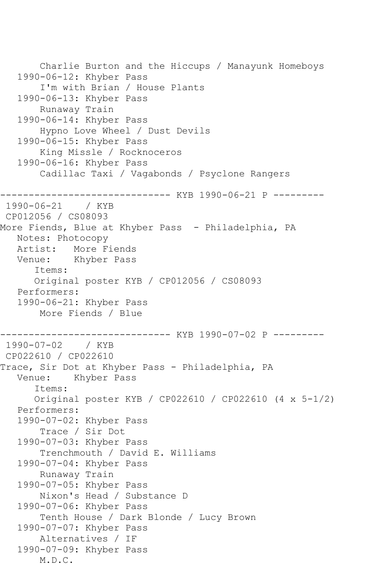```
 Charlie Burton and the Hiccups / Manayunk Homeboys
    1990-06-12: Khyber Pass
        I'm with Brian / House Plants
    1990-06-13: Khyber Pass
        Runaway Train
    1990-06-14: Khyber Pass
        Hypno Love Wheel / Dust Devils
    1990-06-15: Khyber Pass
        King Missle / Rocknoceros
    1990-06-16: Khyber Pass
        Cadillac Taxi / Vagabonds / Psyclone Rangers
        ------------------------------ KYB 1990-06-21 P ---------
1990-06-21 / KYB 
CP012056 / CS08093
More Fiends, Blue at Khyber Pass - Philadelphia, PA
   Notes: Photocopy
   Artist: More Fiends
   Venue: Khyber Pass
       Items:
       Original poster KYB / CP012056 / CS08093
    Performers:
    1990-06-21: Khyber Pass
        More Fiends / Blue
------------------------------ KYB 1990-07-02 P ---------
1990-07-02 / KYB 
CP022610 / CP022610
Trace, Sir Dot at Khyber Pass - Philadelphia, PA
   Venue: Khyber Pass
       Items:
       Original poster KYB / CP022610 / CP022610 (4 x 5-1/2)
    Performers:
    1990-07-02: Khyber Pass
        Trace / Sir Dot
    1990-07-03: Khyber Pass
        Trenchmouth / David E. Williams
    1990-07-04: Khyber Pass
        Runaway Train
    1990-07-05: Khyber Pass
        Nixon's Head / Substance D
    1990-07-06: Khyber Pass
        Tenth House / Dark Blonde / Lucy Brown
    1990-07-07: Khyber Pass
        Alternatives / IF
    1990-07-09: Khyber Pass
        M.D.C.
```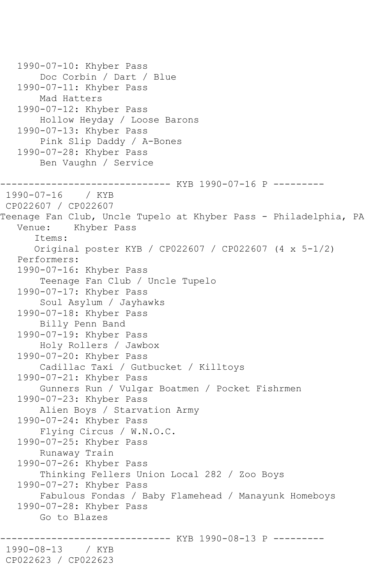1990-07-10: Khyber Pass Doc Corbin / Dart / Blue 1990-07-11: Khyber Pass Mad Hatters 1990-07-12: Khyber Pass Hollow Heyday / Loose Barons 1990-07-13: Khyber Pass Pink Slip Daddy / A-Bones 1990-07-28: Khyber Pass Ben Vaughn / Service ----------- KYB 1990-07-16 P ---------1990-07-16 / KYB CP022607 / CP022607 Teenage Fan Club, Uncle Tupelo at Khyber Pass - Philadelphia, PA Venue: Khyber Pass Items: Original poster KYB / CP022607 / CP022607 (4 x 5-1/2) Performers: 1990-07-16: Khyber Pass Teenage Fan Club / Uncle Tupelo 1990-07-17: Khyber Pass Soul Asylum / Jayhawks 1990-07-18: Khyber Pass Billy Penn Band 1990-07-19: Khyber Pass Holy Rollers / Jawbox 1990-07-20: Khyber Pass Cadillac Taxi / Gutbucket / Killtoys 1990-07-21: Khyber Pass Gunners Run / Vulgar Boatmen / Pocket Fishrmen 1990-07-23: Khyber Pass Alien Boys / Starvation Army 1990-07-24: Khyber Pass Flying Circus / W.N.O.C. 1990-07-25: Khyber Pass Runaway Train 1990-07-26: Khyber Pass Thinking Fellers Union Local 282 / Zoo Boys 1990-07-27: Khyber Pass Fabulous Fondas / Baby Flamehead / Manayunk Homeboys 1990-07-28: Khyber Pass Go to Blazes ------ KYB 1990-08-13 P ---------1990-08-13 / KYB CP022623 / CP022623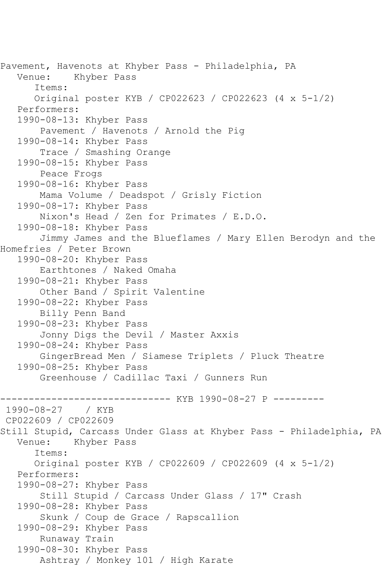Pavement, Havenots at Khyber Pass - Philadelphia, PA Venue: Khyber Pass Items: Original poster KYB / CP022623 / CP022623 (4 x 5-1/2) Performers: 1990-08-13: Khyber Pass Pavement / Havenots / Arnold the Pig 1990-08-14: Khyber Pass Trace / Smashing Orange 1990-08-15: Khyber Pass Peace Frogs 1990-08-16: Khyber Pass Mama Volume / Deadspot / Grisly Fiction 1990-08-17: Khyber Pass Nixon's Head / Zen for Primates / E.D.O. 1990-08-18: Khyber Pass Jimmy James and the Blueflames / Mary Ellen Berodyn and the Homefries / Peter Brown 1990-08-20: Khyber Pass Earthtones / Naked Omaha 1990-08-21: Khyber Pass Other Band / Spirit Valentine 1990-08-22: Khyber Pass Billy Penn Band 1990-08-23: Khyber Pass Jonny Digs the Devil / Master Axxis 1990-08-24: Khyber Pass GingerBread Men / Siamese Triplets / Pluck Theatre 1990-08-25: Khyber Pass Greenhouse / Cadillac Taxi / Gunners Run ------------------------------ KYB 1990-08-27 P ---------  $1990 - 08 - 27$ CP022609 / CP022609 Still Stupid, Carcass Under Glass at Khyber Pass - Philadelphia, PA Venue: Khyber Pass Items: Original poster KYB / CP022609 / CP022609 (4 x 5-1/2) Performers: 1990-08-27: Khyber Pass Still Stupid / Carcass Under Glass / 17" Crash 1990-08-28: Khyber Pass Skunk / Coup de Grace / Rapscallion 1990-08-29: Khyber Pass Runaway Train 1990-08-30: Khyber Pass Ashtray / Monkey 101 / High Karate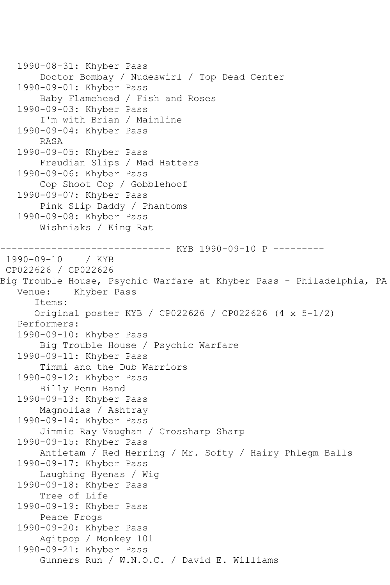```
 1990-08-31: Khyber Pass
        Doctor Bombay / Nudeswirl / Top Dead Center
    1990-09-01: Khyber Pass
        Baby Flamehead / Fish and Roses
    1990-09-03: Khyber Pass
        I'm with Brian / Mainline
    1990-09-04: Khyber Pass
        RASA
    1990-09-05: Khyber Pass
        Freudian Slips / Mad Hatters
    1990-09-06: Khyber Pass
        Cop Shoot Cop / Gobblehoof
   1990-09-07: Khyber Pass
        Pink Slip Daddy / Phantoms
    1990-09-08: Khyber Pass
        Wishniaks / King Rat
                  ------------ KYB 1990-09-10 P ---------
1990-09-10 / KYB 
CP022626 / CP022626
Big Trouble House, Psychic Warfare at Khyber Pass - Philadelphia, PA
   Venue: Khyber Pass
       Items:
       Original poster KYB / CP022626 / CP022626 (4 x 5-1/2)
    Performers:
    1990-09-10: Khyber Pass
        Big Trouble House / Psychic Warfare
    1990-09-11: Khyber Pass
        Timmi and the Dub Warriors
    1990-09-12: Khyber Pass
        Billy Penn Band
    1990-09-13: Khyber Pass
        Magnolias / Ashtray
    1990-09-14: Khyber Pass
        Jimmie Ray Vaughan / Crossharp Sharp
    1990-09-15: Khyber Pass
        Antietam / Red Herring / Mr. Softy / Hairy Phlegm Balls
    1990-09-17: Khyber Pass
        Laughing Hyenas / Wig
    1990-09-18: Khyber Pass
        Tree of Life
    1990-09-19: Khyber Pass
        Peace Frogs
    1990-09-20: Khyber Pass
        Agitpop / Monkey 101
    1990-09-21: Khyber Pass
        Gunners Run / W.N.O.C. / David E. Williams
```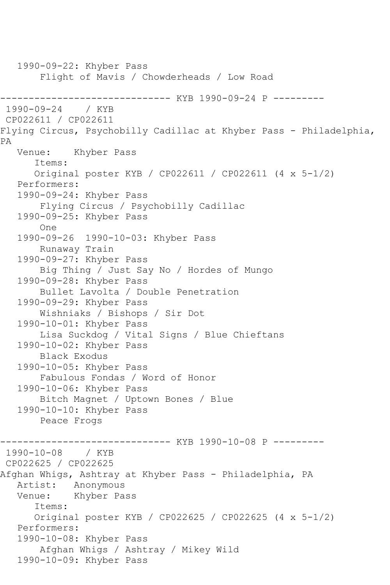1990-09-22: Khyber Pass Flight of Mavis / Chowderheads / Low Road -------------------------------- KYB 1990-09-24 P ---------<br>1990-09-24 / KYB  $1990 - 09 - 24$ CP022611 / CP022611 Flying Circus, Psychobilly Cadillac at Khyber Pass - Philadelphia, PA Venue: Khyber Pass Items: Original poster KYB / CP022611 / CP022611 (4 x 5-1/2) Performers: 1990-09-24: Khyber Pass Flying Circus / Psychobilly Cadillac 1990-09-25: Khyber Pass One 1990-09-26 1990-10-03: Khyber Pass Runaway Train 1990-09-27: Khyber Pass Big Thing / Just Say No / Hordes of Mungo 1990-09-28: Khyber Pass Bullet Lavolta / Double Penetration 1990-09-29: Khyber Pass Wishniaks / Bishops / Sir Dot 1990-10-01: Khyber Pass Lisa Suckdog / Vital Signs / Blue Chieftans 1990-10-02: Khyber Pass Black Exodus 1990-10-05: Khyber Pass Fabulous Fondas / Word of Honor 1990-10-06: Khyber Pass Bitch Magnet / Uptown Bones / Blue 1990-10-10: Khyber Pass Peace Frogs ------------------------------ KYB 1990-10-08 P --------- 1990-10-08 / KYB CP022625 / CP022625 Afghan Whigs, Ashtray at Khyber Pass - Philadelphia, PA Artist: Anonymous<br>Venue: Khyber Pa Khyber Pass Items: Original poster KYB / CP022625 / CP022625 (4 x 5-1/2) Performers: 1990-10-08: Khyber Pass Afghan Whigs / Ashtray / Mikey Wild 1990-10-09: Khyber Pass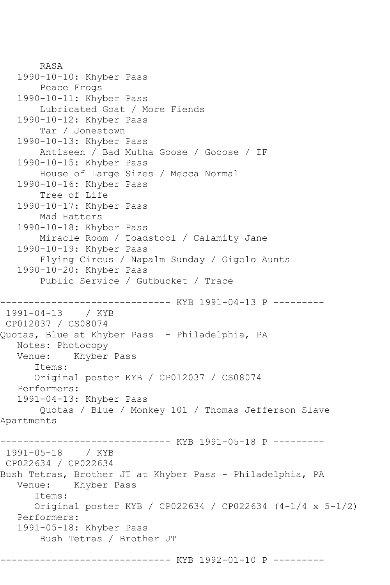```
 RASA
    1990-10-10: Khyber Pass
        Peace Frogs
    1990-10-11: Khyber Pass
        Lubricated Goat / More Fiends
    1990-10-12: Khyber Pass
        Tar / Jonestown
    1990-10-13: Khyber Pass
        Antiseen / Bad Mutha Goose / Gooose / IF
    1990-10-15: Khyber Pass
        House of Large Sizes / Mecca Normal
    1990-10-16: Khyber Pass
        Tree of Life
    1990-10-17: Khyber Pass
        Mad Hatters
    1990-10-18: Khyber Pass
        Miracle Room / Toadstool / Calamity Jane
    1990-10-19: Khyber Pass
        Flying Circus / Napalm Sunday / Gigolo Aunts
    1990-10-20: Khyber Pass
        Public Service / Gutbucket / Trace
                -------------- KYB 1991-04-13 P ---------
1991-04-13 / KYB 
CP012037 / CS08074
Quotas, Blue at Khyber Pass - Philadelphia, PA
   Notes: Photocopy
   Venue: Khyber Pass
       Items:
       Original poster KYB / CP012037 / CS08074
    Performers:
    1991-04-13: Khyber Pass
        Quotas / Blue / Monkey 101 / Thomas Jefferson Slave 
Apartments
------------------------------ KYB 1991-05-18 P ---------
1991-05-18 / KYB 
CP022634 / CP022634
Bush Tetras, Brother JT at Khyber Pass - Philadelphia, PA<br>Venue:   Khyber Pass
           Khyber Pass
       Items:
       Original poster KYB / CP022634 / CP022634 (4-1/4 x 5-1/2)
   Performers:
    1991-05-18: Khyber Pass
        Bush Tetras / Brother JT
                        ------- KYB 1992-01-10 P ---------
```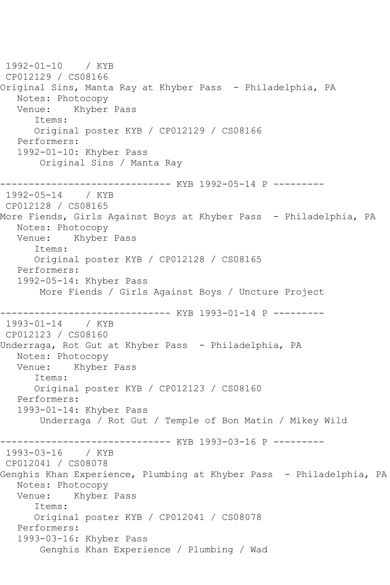1992-01-10 / KYB CP012129 / CS08166 Original Sins, Manta Ray at Khyber Pass - Philadelphia, PA Notes: Photocopy<br>Venue: Khyber Khyber Pass Items: Original poster KYB / CP012129 / CS08166 Performers: 1992-01-10: Khyber Pass Original Sins / Manta Ray ------------------------------ KYB 1992-05-14 P --------- 1992-05-14 / KYB CP012128 / CS08165 More Fiends, Girls Against Boys at Khyber Pass - Philadelphia, PA Notes: Photocopy Venue: Khyber Pass Items: Original poster KYB / CP012128 / CS08165 Performers: 1992-05-14: Khyber Pass More Fiends / Girls Against Boys / Uncture Project ------------------------------ KYB 1993-01-14 P --------- 1993-01-14 / KYB CP012123 / CS08160 Underraga, Rot Gut at Khyber Pass - Philadelphia, PA Notes: Photocopy Venue: Khyber Pass Items: Original poster KYB / CP012123 / CS08160 Performers: 1993-01-14: Khyber Pass Underraga / Rot Gut / Temple of Bon Matin / Mikey Wild ------------------------------ KYB 1993-03-16 P --------- 1993-03-16 / KYB CP012041 / CS08078 Genghis Khan Experience, Plumbing at Khyber Pass - Philadelphia, PA Notes: Photocopy Venue: Khyber Pass Items: Original poster KYB / CP012041 / CS08078 Performers: 1993-03-16: Khyber Pass Genghis Khan Experience / Plumbing / Wad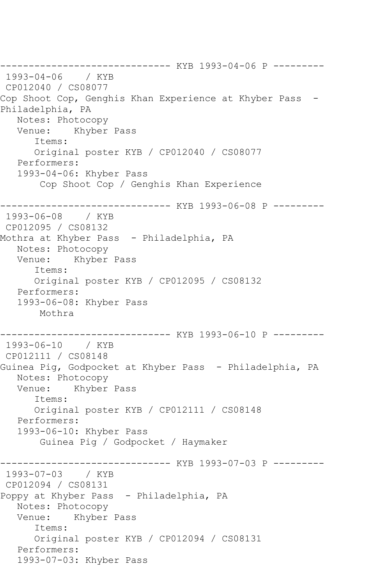------------------------------ KYB 1993-04-06 P --------- 1993-04-06 / KYB CP012040 / CS08077 Cop Shoot Cop, Genghis Khan Experience at Khyber Pass -Philadelphia, PA Notes: Photocopy Venue: Khyber Pass Items: Original poster KYB / CP012040 / CS08077 Performers: 1993-04-06: Khyber Pass Cop Shoot Cop / Genghis Khan Experience ------------------------------ KYB 1993-06-08 P --------- 1993-06-08 / KYB CP012095 / CS08132 Mothra at Khyber Pass - Philadelphia, PA Notes: Photocopy<br>Venue: Khyber Khyber Pass Items: Original poster KYB / CP012095 / CS08132 Performers: 1993-06-08: Khyber Pass Mothra ------------------------------ KYB 1993-06-10 P --------- 1993-06-10 / KYB CP012111 / CS08148 Guinea Pig, Godpocket at Khyber Pass - Philadelphia, PA Notes: Photocopy Venue: Khyber Pass Items: Original poster KYB / CP012111 / CS08148 Performers: 1993-06-10: Khyber Pass Guinea Pig / Godpocket / Haymaker ----------- KYB 1993-07-03 P ---------1993-07-03 / KYB CP012094 / CS08131 Poppy at Khyber Pass - Philadelphia, PA Notes: Photocopy Venue: Khyber Pass Items: Original poster KYB / CP012094 / CS08131 Performers: 1993-07-03: Khyber Pass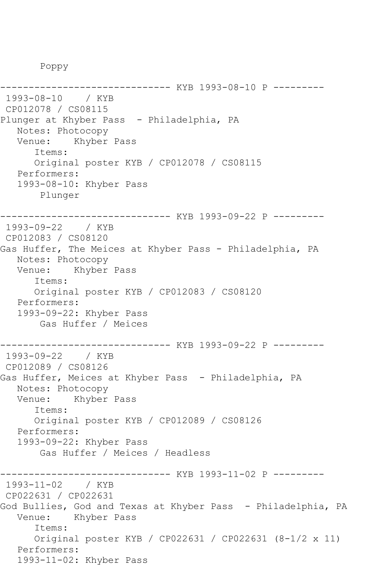Poppy

------------------------------ KYB 1993-08-10 P --------- 1993-08-10 / KYB CP012078 / CS08115 Plunger at Khyber Pass - Philadelphia, PA Notes: Photocopy Venue: Khyber Pass Items: Original poster KYB / CP012078 / CS08115 Performers: 1993-08-10: Khyber Pass Plunger ------------------------------ KYB 1993-09-22 P --------- 1993-09-22 / KYB CP012083 / CS08120 Gas Huffer, The Meices at Khyber Pass - Philadelphia, PA Notes: Photocopy Venue: Khyber Pass Items: Original poster KYB / CP012083 / CS08120 Performers: 1993-09-22: Khyber Pass Gas Huffer / Meices ------------------------------ KYB 1993-09-22 P --------- 1993-09-22 / KYB CP012089 / CS08126 Gas Huffer, Meices at Khyber Pass - Philadelphia, PA Notes: Photocopy Venue: Khyber Pass Items: Original poster KYB / CP012089 / CS08126 Performers: 1993-09-22: Khyber Pass Gas Huffer / Meices / Headless ------------------------------ KYB 1993-11-02 P --------- 1993-11-02 / KYB CP022631 / CP022631 God Bullies, God and Texas at Khyber Pass - Philadelphia, PA Venue: Khyber Pass Items: Original poster KYB / CP022631 / CP022631 (8-1/2 x 11) Performers: 1993-11-02: Khyber Pass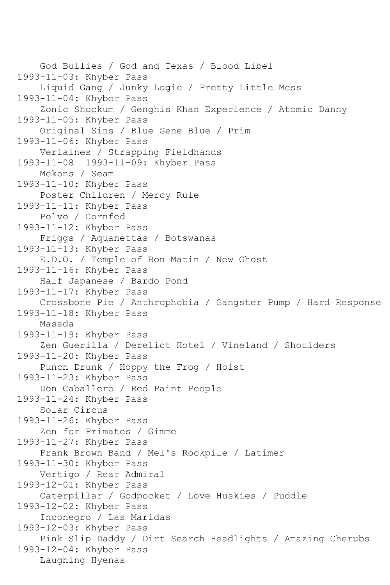God Bullies / God and Texas / Blood Libel 1993-11-03: Khyber Pass Liquid Gang / Junky Logic / Pretty Little Mess 1993-11-04: Khyber Pass Zonic Shockum / Genghis Khan Experience / Atomic Danny 1993-11-05: Khyber Pass Original Sins / Blue Gene Blue / Prim 1993-11-06: Khyber Pass Verlaines / Strapping Fieldhands 1993-11-08 1993-11-09: Khyber Pass Mekons / Seam 1993-11-10: Khyber Pass Poster Children / Mercy Rule 1993-11-11: Khyber Pass Polvo / Cornfed 1993-11-12: Khyber Pass Friggs / Aquanettas / Botswanas 1993-11-13: Khyber Pass E.D.O. / Temple of Bon Matin / New Ghost 1993-11-16: Khyber Pass Half Japanese / Bardo Pond 1993-11-17: Khyber Pass Crossbone Pie / Anthrophobia / Gangster Pump / Hard Response 1993-11-18: Khyber Pass Masada 1993-11-19: Khyber Pass Zen Guerilla / Derelict Hotel / Vineland / Shoulders 1993-11-20: Khyber Pass Punch Drunk / Hoppy the Frog / Hoist 1993-11-23: Khyber Pass Don Caballero / Red Paint People 1993-11-24: Khyber Pass Solar Circus 1993-11-26: Khyber Pass Zen for Primates / Gimme 1993-11-27: Khyber Pass Frank Brown Band / Mel's Rockpile / Latimer 1993-11-30: Khyber Pass Vertigo / Rear Admiral 1993-12-01: Khyber Pass Caterpillar / Godpocket / Love Huskies / Puddle 1993-12-02: Khyber Pass Inconegro / Las Maridas 1993-12-03: Khyber Pass Pink Slip Daddy / Dirt Search Headlights / Amazing Cherubs 1993-12-04: Khyber Pass Laughing Hyenas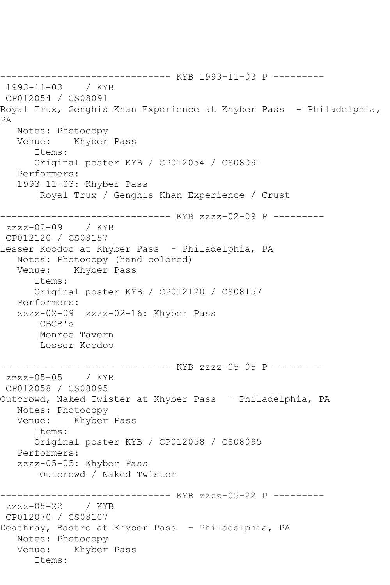------------------------------ KYB 1993-11-03 P --------- 1993-11-03 / KYB CP012054 / CS08091 Royal Trux, Genghis Khan Experience at Khyber Pass - Philadelphia, PA Notes: Photocopy Venue: Khyber Pass Items: Original poster KYB / CP012054 / CS08091 Performers: 1993-11-03: Khyber Pass Royal Trux / Genghis Khan Experience / Crust ------------------------------ KYB zzzz-02-09 P -------- zzzz-02-09 / KYB CP012120 / CS08157 Lesser Koodoo at Khyber Pass - Philadelphia, PA Notes: Photocopy (hand colored) Venue: Khyber Pass Items: Original poster KYB / CP012120 / CS08157 Performers: zzzz-02-09 zzzz-02-16: Khyber Pass CBGB's Monroe Tavern Lesser Koodoo ------------------------------ KYB zzzz-05-05 P -------- zzzz-05-05 / KYB CP012058 / CS08095 Outcrowd, Naked Twister at Khyber Pass - Philadelphia, PA Notes: Photocopy Venue: Khyber Pass Items: Original poster KYB / CP012058 / CS08095 Performers: zzzz-05-05: Khyber Pass Outcrowd / Naked Twister ------------ KYB zzzz-05-22 P --------zzzz-05-22 / KYB CP012070 / CS08107 Deathray, Bastro at Khyber Pass - Philadelphia, PA Notes: Photocopy Venue: Khyber Pass Items: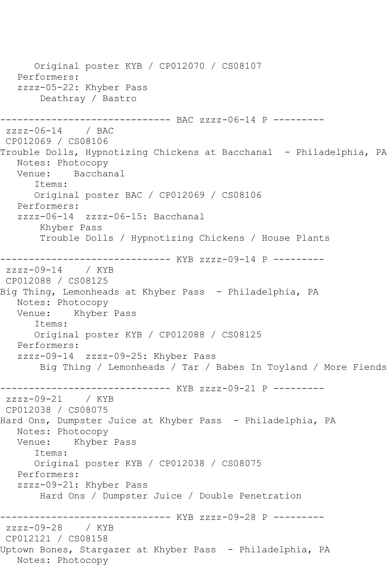Original poster KYB / CP012070 / CS08107 Performers: zzzz-05-22: Khyber Pass Deathray / Bastro ------------------------------ BAC zzzz-06-14 P -------- zzzz-06-14 / BAC CP012069 / CS08106 Trouble Dolls, Hypnotizing Chickens at Bacchanal - Philadelphia, PA Notes: Photocopy<br>Venue: Bacchai Bacchanal Items: Original poster BAC / CP012069 / CS08106 Performers: zzzz-06-14 zzzz-06-15: Bacchanal Khyber Pass Trouble Dolls / Hypnotizing Chickens / House Plants ------------------------------ KYB zzzz-09-14 P -------- zzzz-09-14 / KYB CP012088 / CS08125 Big Thing, Lemonheads at Khyber Pass - Philadelphia, PA Notes: Photocopy Venue: Khyber Pass Items: Original poster KYB / CP012088 / CS08125 Performers: zzzz-09-14 zzzz-09-25: Khyber Pass Big Thing / Lemonheads / Tar / Babes In Toyland / More Fiends ------------------------------ KYB zzzz-09-21 P -------- zzzz-09-21 / KYB CP012038 / CS08075 Hard Ons, Dumpster Juice at Khyber Pass - Philadelphia, PA Notes: Photocopy Venue: Khyber Pass Items: Original poster KYB / CP012038 / CS08075 Performers: zzzz-09-21: Khyber Pass Hard Ons / Dumpster Juice / Double Penetration ------------------------------ KYB zzzz-09-28 P -------- zzzz-09-28 / KYB CP012121 / CS08158 Uptown Bones, Stargazer at Khyber Pass - Philadelphia, PA Notes: Photocopy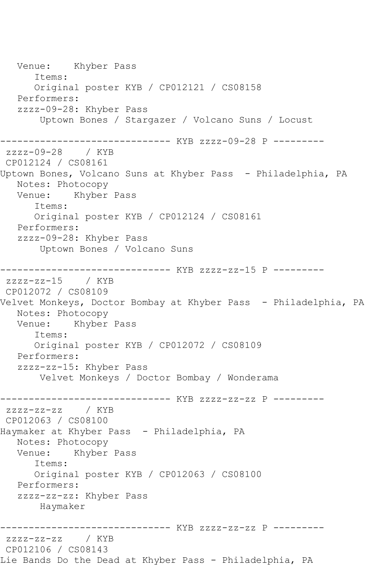Venue: Khyber Pass Items: Original poster KYB / CP012121 / CS08158 Performers: zzzz-09-28: Khyber Pass Uptown Bones / Stargazer / Volcano Suns / Locust ------------------------------ KYB zzzz-09-28 P -------- zzzz-09-28 / KYB CP012124 / CS08161 Uptown Bones, Volcano Suns at Khyber Pass - Philadelphia, PA Notes: Photocopy Venue: Khyber Pass Items: Original poster KYB / CP012124 / CS08161 Performers: zzzz-09-28: Khyber Pass Uptown Bones / Volcano Suns ------------------------------ KYB zzzz-zz-15 P --------  $zzzz-zz-15$ CP012072 / CS08109 Velvet Monkeys, Doctor Bombay at Khyber Pass - Philadelphia, PA Notes: Photocopy<br>Venue: Khyber Khyber Pass Items: Original poster KYB / CP012072 / CS08109 Performers: zzzz-zz-15: Khyber Pass Velvet Monkeys / Doctor Bombay / Wonderama ------------------------------ KYB zzzz-zz-zz P -------- zzzz-zz-zz / KYB CP012063 / CS08100 Haymaker at Khyber Pass - Philadelphia, PA Notes: Photocopy Venue: Khyber Pass Items: Original poster KYB / CP012063 / CS08100 Performers: zzzz-zz-zz: Khyber Pass Haymaker ------------------------------ KYB zzzz-zz-zz P -------- zzzz-zz-zz / KYB CP012106 / CS08143 Lie Bands Do the Dead at Khyber Pass - Philadelphia, PA